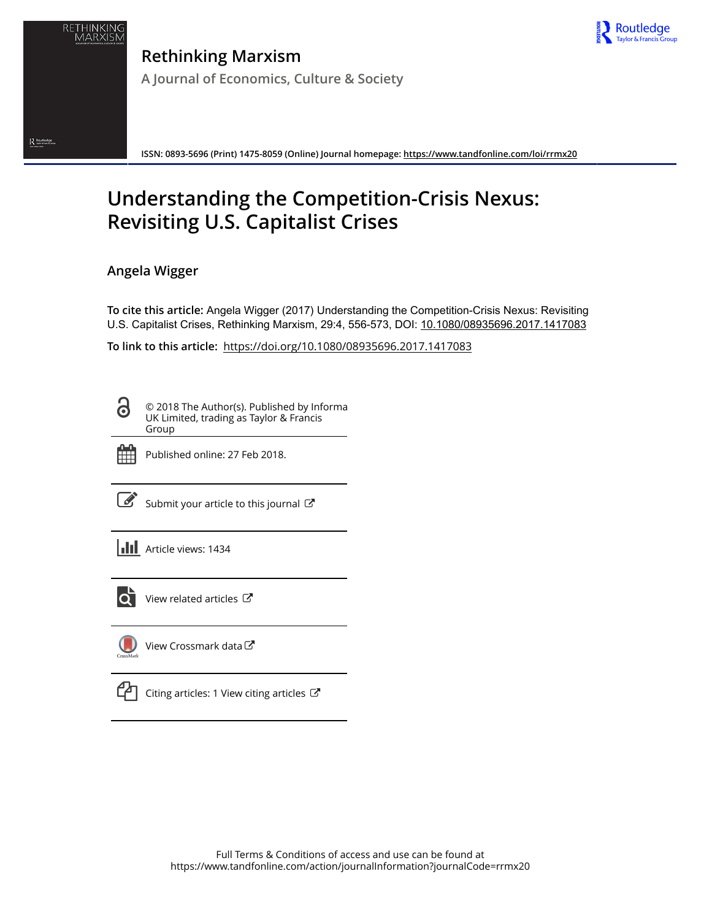

**Rethinking Marxism A Journal of Economics, Culture & Society**

**ISSN: 0893-5696 (Print) 1475-8059 (Online) Journal homepage:<https://www.tandfonline.com/loi/rrmx20>**

# **Understanding the Competition-Crisis Nexus: Revisiting U.S. Capitalist Crises**

**Angela Wigger**

 $\bigwedge_{\text{non-convex}}\text{Rootedge}_{\text{non-convex}}$ 

**To cite this article:** Angela Wigger (2017) Understanding the Competition-Crisis Nexus: Revisiting U.S. Capitalist Crises, Rethinking Marxism, 29:4, 556-573, DOI: [10.1080/08935696.2017.1417083](https://www.tandfonline.com/action/showCitFormats?doi=10.1080/08935696.2017.1417083)

**To link to this article:** <https://doi.org/10.1080/08935696.2017.1417083>

© 2018 The Author(s). Published by Informa UK Limited, trading as Taylor & Francis Group



G

Published online: 27 Feb 2018.

 $\overrightarrow{S}$  [Submit your article to this journal](https://www.tandfonline.com/action/authorSubmission?journalCode=rrmx20&show=instructions)  $\overrightarrow{S}$ 



 $\overrightarrow{Q}$  [View related articles](https://www.tandfonline.com/doi/mlt/10.1080/08935696.2017.1417083)  $\overrightarrow{C}$ 



[View Crossmark data](http://crossmark.crossref.org/dialog/?doi=10.1080/08935696.2017.1417083&domain=pdf&date_stamp=2018-02-27)<sup>√</sup>



 $\Box$  [Citing articles: 1 View citing articles](https://www.tandfonline.com/doi/citedby/10.1080/08935696.2017.1417083#tabModule)  $\Box$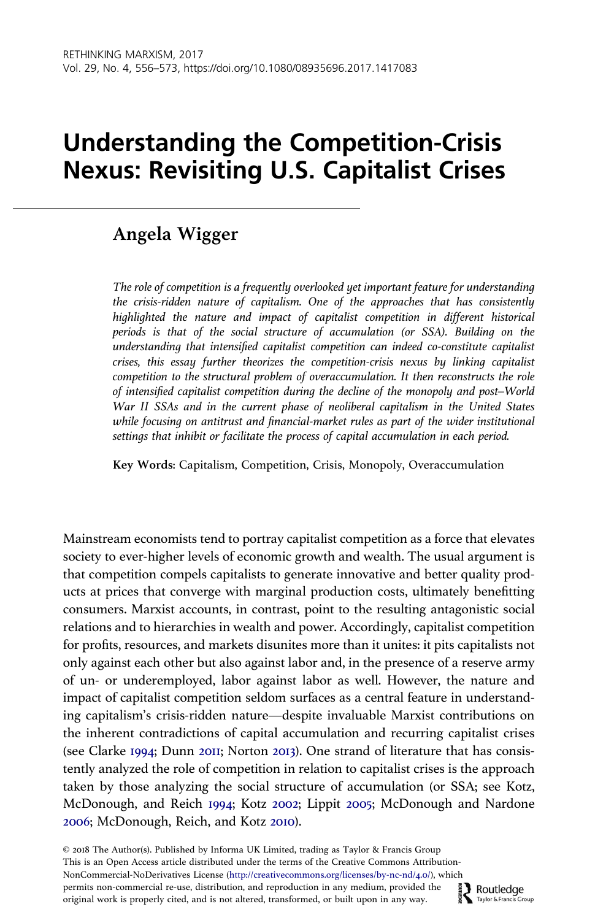## <span id="page-1-0"></span>Understanding the Competition-Crisis Nexus: Revisiting U.S. Capitalist Crises

## Angela Wigger

The role of competition is a frequently overlooked yet important feature for understanding the crisis-ridden nature of capitalism. One of the approaches that has consistently highlighted the nature and impact of capitalist competition in different historical periods is that of the social structure of accumulation (or SSA). Building on the understanding that intensified capitalist competition can indeed co-constitute capitalist crises, this essay further theorizes the competition-crisis nexus by linking capitalist competition to the structural problem of overaccumulation. It then reconstructs the role of intensified capitalist competition during the decline of the monopoly and post–World War II SSAs and in the current phase of neoliberal capitalism in the United States while focusing on antitrust and financial-market rules as part of the wider institutional settings that inhibit or facilitate the process of capital accumulation in each period.

Key Words: Capitalism, Competition, Crisis, Monopoly, Overaccumulation

Mainstream economists tend to portray capitalist competition as a force that elevates society to ever-higher levels of economic growth and wealth. The usual argument is that competition compels capitalists to generate innovative and better quality products at prices that converge with marginal production costs, ultimately benefitting consumers. Marxist accounts, in contrast, point to the resulting antagonistic social relations and to hierarchies in wealth and power. Accordingly, capitalist competition for profits, resources, and markets disunites more than it unites: it pits capitalists not only against each other but also against labor and, in the presence of a reserve army of un- or underemployed, labor against labor as well. However, the nature and impact of capitalist competition seldom surfaces as a central feature in understanding capitalism's crisis-ridden nature—despite invaluable Marxist contributions on the inherent contradictions of capital accumulation and recurring capitalist crises (see Clarke [1994](#page-16-0); Dunn [2011;](#page-16-0) Norton [2013\)](#page-18-0). One strand of literature that has consistently analyzed the role of competition in relation to capitalist crises is the approach taken by those analyzing the social structure of accumulation (or SSA; see Kotz, McDonough, and Reich [1994](#page-17-0); Kotz [2002](#page-17-0); Lippit [2005](#page-17-0); McDonough and Nardone [2006;](#page-17-0) McDonough, Reich, and Kotz [2010](#page-18-0)).

© 2018 The Author(s). Published by Informa UK Limited, trading as Taylor & Francis Group This is an Open Access article distributed under the terms of the Creative Commons Attribution-NonCommercial-NoDerivatives License [\(http://creativecommons.org/licenses/by-nc-nd/4.0/](http://creativecommons.org/licenses/by-nc-nd/4.0/)), whi[ch](http://www.tandfonline.com) permits non-commercial re-use, distribution, and reproduction in any medium, provided the original work is properly cited, and is not altered, transformed, or built upon in any way.

Routledge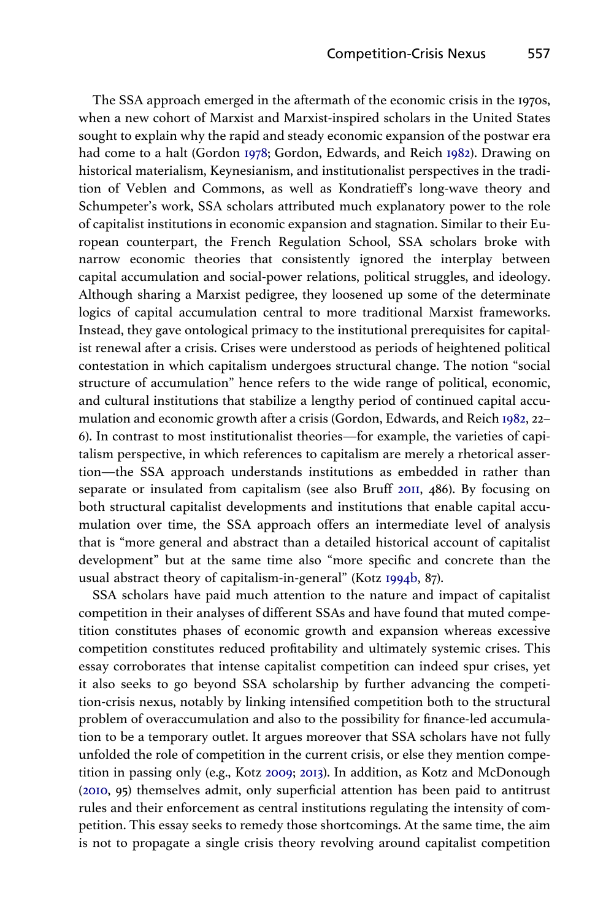<span id="page-2-0"></span>The SSA approach emerged in the aftermath of the economic crisis in the 1970s, when a new cohort of Marxist and Marxist-inspired scholars in the United States sought to explain why the rapid and steady economic expansion of the postwar era had come to a halt (Gordon [1978;](#page-16-0) Gordon, Edwards, and Reich [1982](#page-16-0)). Drawing on historical materialism, Keynesianism, and institutionalist perspectives in the tradition of Veblen and Commons, as well as Kondratieff's long-wave theory and Schumpeter's work, SSA scholars attributed much explanatory power to the role of capitalist institutions in economic expansion and stagnation. Similar to their European counterpart, the French Regulation School, SSA scholars broke with narrow economic theories that consistently ignored the interplay between capital accumulation and social-power relations, political struggles, and ideology. Although sharing a Marxist pedigree, they loosened up some of the determinate logics of capital accumulation central to more traditional Marxist frameworks. Instead, they gave ontological primacy to the institutional prerequisites for capitalist renewal after a crisis. Crises were understood as periods of heightened political contestation in which capitalism undergoes structural change. The notion "social structure of accumulation" hence refers to the wide range of political, economic, and cultural institutions that stabilize a lengthy period of continued capital accumulation and economic growth after a crisis (Gordon, Edwards, and Reich [1982](#page-16-0), 22– 6). In contrast to most institutionalist theories—for example, the varieties of capitalism perspective, in which references to capitalism are merely a rhetorical assertion—the SSA approach understands institutions as embedded in rather than separate or insulated from capitalism (see also Bruff [2011,](#page-16-0) 486). By focusing on both structural capitalist developments and institutions that enable capital accumulation over time, the SSA approach offers an intermediate level of analysis that is "more general and abstract than a detailed historical account of capitalist development" but at the same time also "more specific and concrete than the usual abstract theory of capitalism-in-general" (Kotz [1994b](#page-17-0), 87).

SSA scholars have paid much attention to the nature and impact of capitalist competition in their analyses of different SSAs and have found that muted competition constitutes phases of economic growth and expansion whereas excessive competition constitutes reduced profitability and ultimately systemic crises. This essay corroborates that intense capitalist competition can indeed spur crises, yet it also seeks to go beyond SSA scholarship by further advancing the competition-crisis nexus, notably by linking intensified competition both to the structural problem of overaccumulation and also to the possibility for finance-led accumulation to be a temporary outlet. It argues moreover that SSA scholars have not fully unfolded the role of competition in the current crisis, or else they mention competition in passing only (e.g., Kotz [2009](#page-17-0); [2013\)](#page-17-0). In addition, as Kotz and McDonough ([2010,](#page-17-0) 95) themselves admit, only superficial attention has been paid to antitrust rules and their enforcement as central institutions regulating the intensity of competition. This essay seeks to remedy those shortcomings. At the same time, the aim is not to propagate a single crisis theory revolving around capitalist competition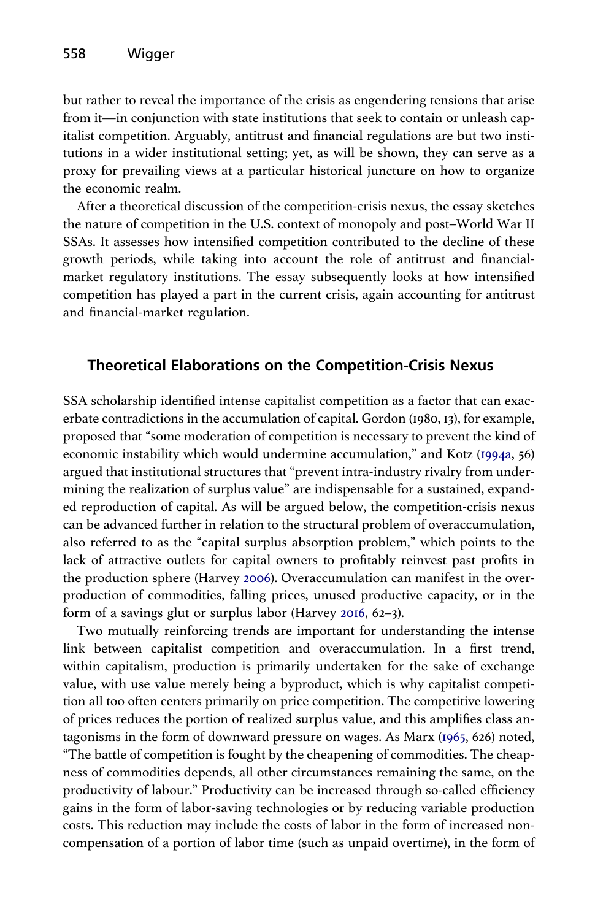<span id="page-3-0"></span>but rather to reveal the importance of the crisis as engendering tensions that arise from it—in conjunction with state institutions that seek to contain or unleash capitalist competition. Arguably, antitrust and financial regulations are but two institutions in a wider institutional setting; yet, as will be shown, they can serve as a proxy for prevailing views at a particular historical juncture on how to organize the economic realm.

After a theoretical discussion of the competition-crisis nexus, the essay sketches the nature of competition in the U.S. context of monopoly and post–World War II SSAs. It assesses how intensified competition contributed to the decline of these growth periods, while taking into account the role of antitrust and financialmarket regulatory institutions. The essay subsequently looks at how intensified competition has played a part in the current crisis, again accounting for antitrust and financial-market regulation.

### Theoretical Elaborations on the Competition-Crisis Nexus

SSA scholarship identified intense capitalist competition as a factor that can exacerbate contradictions in the accumulation of capital. Gordon (1980, 13), for example, proposed that "some moderation of competition is necessary to prevent the kind of economic instability which would undermine accumulation," and Kotz ([1994a,](#page-17-0) 56) argued that institutional structures that "prevent intra-industry rivalry from undermining the realization of surplus value" are indispensable for a sustained, expanded reproduction of capital. As will be argued below, the competition-crisis nexus can be advanced further in relation to the structural problem of overaccumulation, also referred to as the "capital surplus absorption problem," which points to the lack of attractive outlets for capital owners to profitably reinvest past profits in the production sphere (Harvey [2006](#page-16-0)). Overaccumulation can manifest in the overproduction of commodities, falling prices, unused productive capacity, or in the form of a savings glut or surplus labor (Harvey [2016](#page-17-0), 62–3).

Two mutually reinforcing trends are important for understanding the intense link between capitalist competition and overaccumulation. In a first trend, within capitalism, production is primarily undertaken for the sake of exchange value, with use value merely being a byproduct, which is why capitalist competition all too often centers primarily on price competition. The competitive lowering of prices reduces the portion of realized surplus value, and this amplifies class antagonisms in the form of downward pressure on wages. As Marx ([1965,](#page-17-0) 626) noted, "The battle of competition is fought by the cheapening of commodities. The cheapness of commodities depends, all other circumstances remaining the same, on the productivity of labour." Productivity can be increased through so-called efficiency gains in the form of labor-saving technologies or by reducing variable production costs. This reduction may include the costs of labor in the form of increased noncompensation of a portion of labor time (such as unpaid overtime), in the form of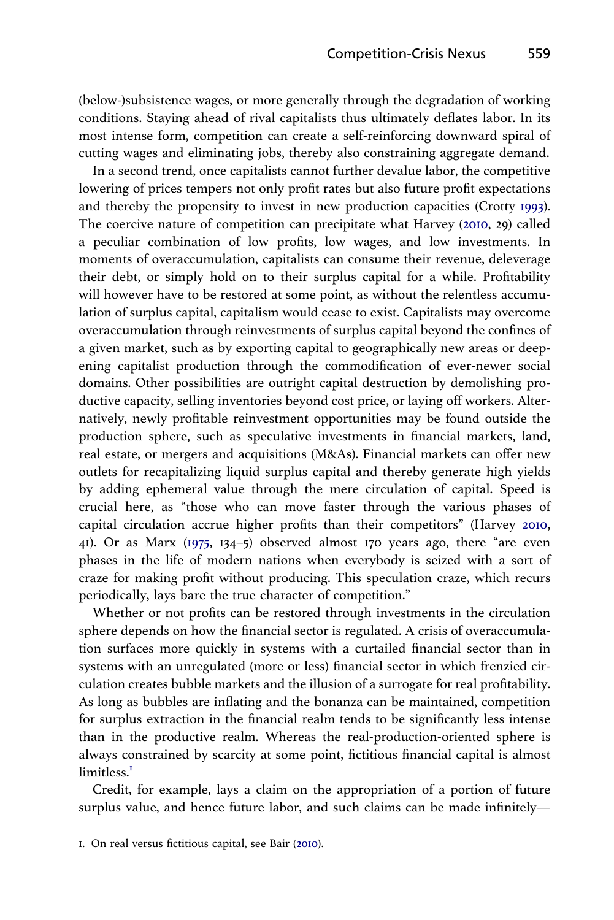<span id="page-4-0"></span>(below-)subsistence wages, or more generally through the degradation of working conditions. Staying ahead of rival capitalists thus ultimately deflates labor. In its most intense form, competition can create a self-reinforcing downward spiral of cutting wages and eliminating jobs, thereby also constraining aggregate demand.

In a second trend, once capitalists cannot further devalue labor, the competitive lowering of prices tempers not only profit rates but also future profit expectations and thereby the propensity to invest in new production capacities (Crotty [1993\)](#page-16-0). The coercive nature of competition can precipitate what Harvey ([2010,](#page-16-0) 29) called a peculiar combination of low profits, low wages, and low investments. In moments of overaccumulation, capitalists can consume their revenue, deleverage their debt, or simply hold on to their surplus capital for a while. Profitability will however have to be restored at some point, as without the relentless accumulation of surplus capital, capitalism would cease to exist. Capitalists may overcome overaccumulation through reinvestments of surplus capital beyond the confines of a given market, such as by exporting capital to geographically new areas or deepening capitalist production through the commodification of ever-newer social domains. Other possibilities are outright capital destruction by demolishing productive capacity, selling inventories beyond cost price, or laying off workers. Alternatively, newly profitable reinvestment opportunities may be found outside the production sphere, such as speculative investments in financial markets, land, real estate, or mergers and acquisitions (M&As). Financial markets can offer new outlets for recapitalizing liquid surplus capital and thereby generate high yields by adding ephemeral value through the mere circulation of capital. Speed is crucial here, as "those who can move faster through the various phases of capital circulation accrue higher profits than their competitors" (Harvey [2010,](#page-16-0) 41). Or as Marx ([1975](#page-17-0), 134–5) observed almost 170 years ago, there "are even phases in the life of modern nations when everybody is seized with a sort of craze for making profit without producing. This speculation craze, which recurs periodically, lays bare the true character of competition."

Whether or not profits can be restored through investments in the circulation sphere depends on how the financial sector is regulated. A crisis of overaccumulation surfaces more quickly in systems with a curtailed financial sector than in systems with an unregulated (more or less) financial sector in which frenzied circulation creates bubble markets and the illusion of a surrogate for real profitability. As long as bubbles are inflating and the bonanza can be maintained, competition for surplus extraction in the financial realm tends to be significantly less intense than in the productive realm. Whereas the real-production-oriented sphere is always constrained by scarcity at some point, fictitious financial capital is almost limitless.<sup>1</sup>

Credit, for example, lays a claim on the appropriation of a portion of future surplus value, and hence future labor, and such claims can be made infinitely—

<sup>1.</sup> On real versus fictitious capital, see Bair ([2010](#page-15-0)).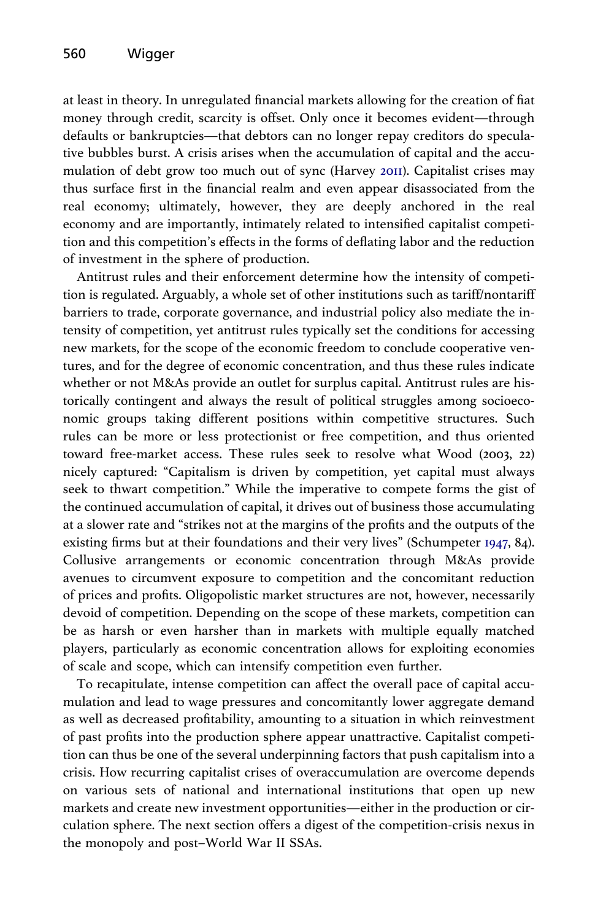<span id="page-5-0"></span>at least in theory. In unregulated financial markets allowing for the creation of fiat money through credit, scarcity is offset. Only once it becomes evident—through defaults or bankruptcies—that debtors can no longer repay creditors do speculative bubbles burst. A crisis arises when the accumulation of capital and the accumulation of debt grow too much out of sync (Harvey [2011](#page-16-0)). Capitalist crises may thus surface first in the financial realm and even appear disassociated from the real economy; ultimately, however, they are deeply anchored in the real economy and are importantly, intimately related to intensified capitalist competition and this competition's effects in the forms of deflating labor and the reduction of investment in the sphere of production.

Antitrust rules and their enforcement determine how the intensity of competition is regulated. Arguably, a whole set of other institutions such as tariff/nontariff barriers to trade, corporate governance, and industrial policy also mediate the intensity of competition, yet antitrust rules typically set the conditions for accessing new markets, for the scope of the economic freedom to conclude cooperative ventures, and for the degree of economic concentration, and thus these rules indicate whether or not M&As provide an outlet for surplus capital. Antitrust rules are historically contingent and always the result of political struggles among socioeconomic groups taking different positions within competitive structures. Such rules can be more or less protectionist or free competition, and thus oriented toward free-market access. These rules seek to resolve what Wood (2003, 22) nicely captured: "Capitalism is driven by competition, yet capital must always seek to thwart competition." While the imperative to compete forms the gist of the continued accumulation of capital, it drives out of business those accumulating at a slower rate and "strikes not at the margins of the profits and the outputs of the existing firms but at their foundations and their very lives" (Schumpeter [1947](#page-18-0), 84). Collusive arrangements or economic concentration through M&As provide avenues to circumvent exposure to competition and the concomitant reduction of prices and profits. Oligopolistic market structures are not, however, necessarily devoid of competition. Depending on the scope of these markets, competition can be as harsh or even harsher than in markets with multiple equally matched players, particularly as economic concentration allows for exploiting economies of scale and scope, which can intensify competition even further.

To recapitulate, intense competition can affect the overall pace of capital accumulation and lead to wage pressures and concomitantly lower aggregate demand as well as decreased profitability, amounting to a situation in which reinvestment of past profits into the production sphere appear unattractive. Capitalist competition can thus be one of the several underpinning factors that push capitalism into a crisis. How recurring capitalist crises of overaccumulation are overcome depends on various sets of national and international institutions that open up new markets and create new investment opportunities—either in the production or circulation sphere. The next section offers a digest of the competition-crisis nexus in the monopoly and post–World War II SSAs.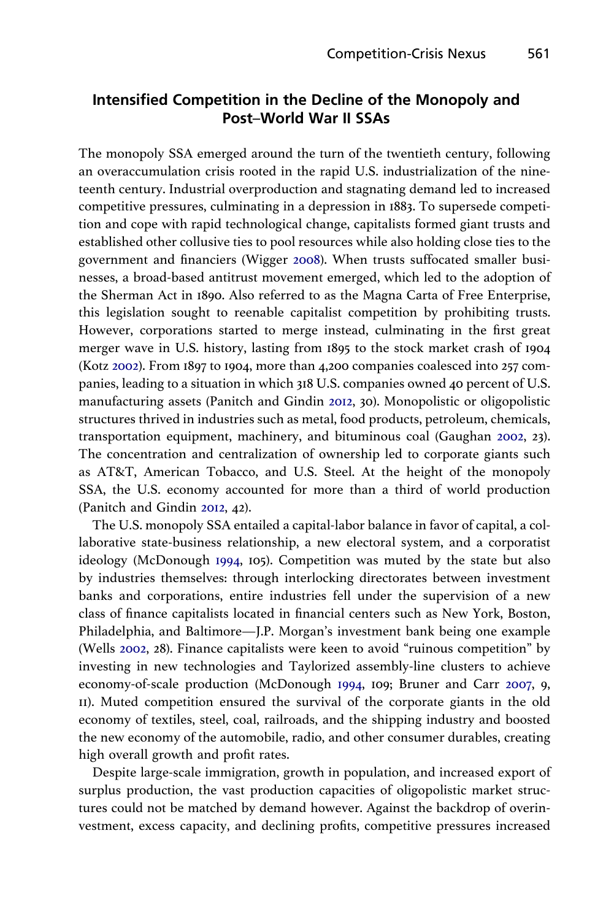## <span id="page-6-0"></span>Intensified Competition in the Decline of the Monopoly and Post–World War II SSAs

The monopoly SSA emerged around the turn of the twentieth century, following an overaccumulation crisis rooted in the rapid U.S. industrialization of the nineteenth century. Industrial overproduction and stagnating demand led to increased competitive pressures, culminating in a depression in 1883. To supersede competition and cope with rapid technological change, capitalists formed giant trusts and established other collusive ties to pool resources while also holding close ties to the government and financiers (Wigger [2008\)](#page-18-0). When trusts suffocated smaller businesses, a broad-based antitrust movement emerged, which led to the adoption of the Sherman Act in 1890. Also referred to as the Magna Carta of Free Enterprise, this legislation sought to reenable capitalist competition by prohibiting trusts. However, corporations started to merge instead, culminating in the first great merger wave in U.S. history, lasting from 1895 to the stock market crash of 1904 (Kotz [2002\)](#page-17-0). From 1897 to 1904, more than 4,200 companies coalesced into 257 companies, leading to a situation in which 318 U.S. companies owned 40 percent of U.S. manufacturing assets (Panitch and Gindin [2012](#page-18-0), 30). Monopolistic or oligopolistic structures thrived in industries such as metal, food products, petroleum, chemicals, transportation equipment, machinery, and bituminous coal (Gaughan [2002,](#page-16-0) 23). The concentration and centralization of ownership led to corporate giants such as AT&T, American Tobacco, and U.S. Steel. At the height of the monopoly SSA, the U.S. economy accounted for more than a third of world production (Panitch and Gindin [2012](#page-18-0), 42).

The U.S. monopoly SSA entailed a capital-labor balance in favor of capital, a collaborative state-business relationship, a new electoral system, and a corporatist ideology (McDonough [1994](#page-17-0), 105). Competition was muted by the state but also by industries themselves: through interlocking directorates between investment banks and corporations, entire industries fell under the supervision of a new class of finance capitalists located in financial centers such as New York, Boston, Philadelphia, and Baltimore—J.P. Morgan's investment bank being one example (Wells [2002](#page-18-0), 28). Finance capitalists were keen to avoid "ruinous competition" by investing in new technologies and Taylorized assembly-line clusters to achieve economy-of-scale production (McDonough [1994](#page-17-0), 109; Bruner and Carr [2007](#page-16-0), 9, 11). Muted competition ensured the survival of the corporate giants in the old economy of textiles, steel, coal, railroads, and the shipping industry and boosted the new economy of the automobile, radio, and other consumer durables, creating high overall growth and profit rates.

Despite large-scale immigration, growth in population, and increased export of surplus production, the vast production capacities of oligopolistic market structures could not be matched by demand however. Against the backdrop of overinvestment, excess capacity, and declining profits, competitive pressures increased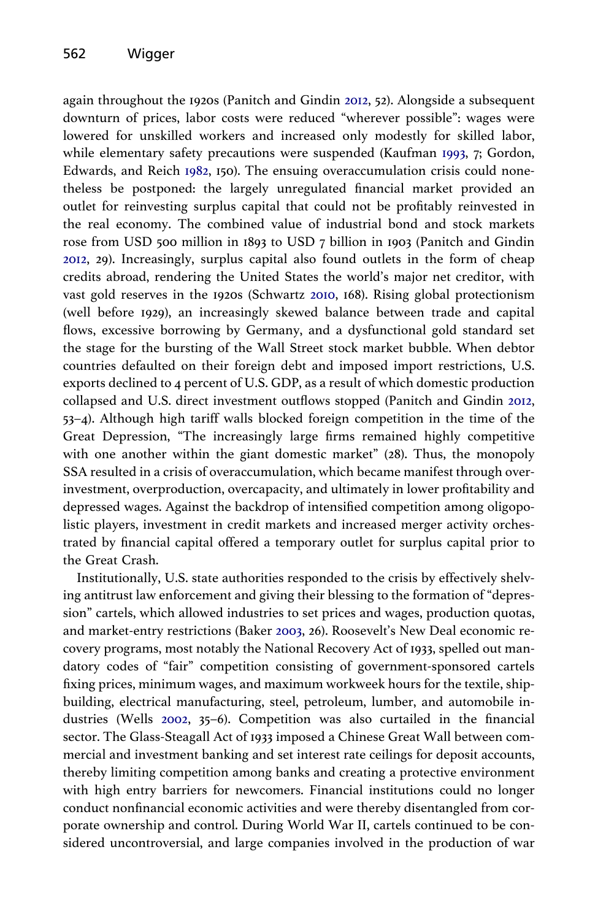<span id="page-7-0"></span>again throughout the 1920s (Panitch and Gindin [2012](#page-18-0), 52). Alongside a subsequent downturn of prices, labor costs were reduced "wherever possible": wages were lowered for unskilled workers and increased only modestly for skilled labor, while elementary safety precautions were suspended (Kaufman [1993,](#page-17-0) 7; Gordon, Edwards, and Reich [1982](#page-16-0), 150). The ensuing overaccumulation crisis could nonetheless be postponed: the largely unregulated financial market provided an outlet for reinvesting surplus capital that could not be profitably reinvested in the real economy. The combined value of industrial bond and stock markets rose from USD 500 million in 1893 to USD 7 billion in 1903 (Panitch and Gindin [2012](#page-18-0), 29). Increasingly, surplus capital also found outlets in the form of cheap credits abroad, rendering the United States the world's major net creditor, with vast gold reserves in the 1920s (Schwartz [2010,](#page-18-0) 168). Rising global protectionism (well before 1929), an increasingly skewed balance between trade and capital flows, excessive borrowing by Germany, and a dysfunctional gold standard set the stage for the bursting of the Wall Street stock market bubble. When debtor countries defaulted on their foreign debt and imposed import restrictions, U.S. exports declined to 4 percent of U.S. GDP, as a result of which domestic production collapsed and U.S. direct investment outflows stopped (Panitch and Gindin [2012](#page-18-0), 53–4). Although high tariff walls blocked foreign competition in the time of the Great Depression, "The increasingly large firms remained highly competitive with one another within the giant domestic market" (28). Thus, the monopoly SSA resulted in a crisis of overaccumulation, which became manifest through overinvestment, overproduction, overcapacity, and ultimately in lower profitability and depressed wages. Against the backdrop of intensified competition among oligopolistic players, investment in credit markets and increased merger activity orchestrated by financial capital offered a temporary outlet for surplus capital prior to the Great Crash.

Institutionally, U.S. state authorities responded to the crisis by effectively shelving antitrust law enforcement and giving their blessing to the formation of "depression" cartels, which allowed industries to set prices and wages, production quotas, and market-entry restrictions (Baker [2003,](#page-15-0) 26). Roosevelt's New Deal economic recovery programs, most notably the National Recovery Act of 1933, spelled out mandatory codes of "fair" competition consisting of government-sponsored cartels fixing prices, minimum wages, and maximum workweek hours for the textile, shipbuilding, electrical manufacturing, steel, petroleum, lumber, and automobile industries (Wells [2002](#page-18-0), 35–6). Competition was also curtailed in the financial sector. The Glass-Steagall Act of 1933 imposed a Chinese Great Wall between commercial and investment banking and set interest rate ceilings for deposit accounts, thereby limiting competition among banks and creating a protective environment with high entry barriers for newcomers. Financial institutions could no longer conduct nonfinancial economic activities and were thereby disentangled from corporate ownership and control. During World War II, cartels continued to be considered uncontroversial, and large companies involved in the production of war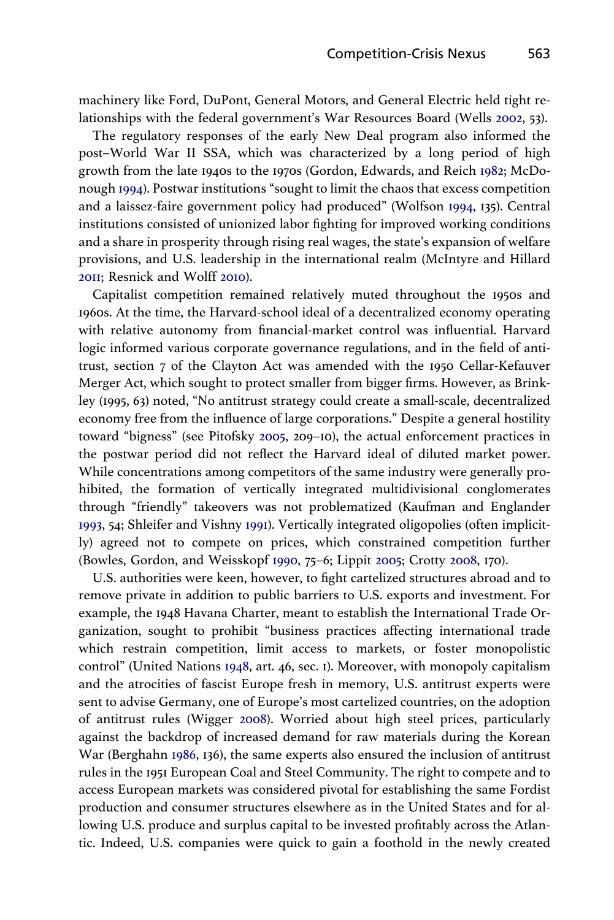<span id="page-8-0"></span>machinery like Ford, DuPont, General Motors, and General Electric held tight relationships with the federal government's War Resources Board (Wells [2002,](#page-18-0) 53).

The regulatory responses of the early New Deal program also informed the post–World War II SSA, which was characterized by a long period of high growth from the late 1940s to the 1970s (Gordon, Edwards, and Reich [1982](#page-16-0); McDonough [1994](#page-17-0)). Postwar institutions "sought to limit the chaos that excess competition and a laissez-faire government policy had produced" (Wolfson [1994,](#page-18-0) 135). Central institutions consisted of unionized labor fighting for improved working conditions and a share in prosperity through rising real wages, the state's expansion of welfare provisions, and U.S. leadership in the international realm (McIntyre and Hillard [2011;](#page-18-0) Resnick and Wolff [2010](#page-18-0)).

Capitalist competition remained relatively muted throughout the 1950s and 1960s. At the time, the Harvard-school ideal of a decentralized economy operating with relative autonomy from financial-market control was influential. Harvard logic informed various corporate governance regulations, and in the field of antitrust, section 7 of the Clayton Act was amended with the 1950 Cellar-Kefauver Merger Act, which sought to protect smaller from bigger firms. However, as Brinkley (1995, 63) noted, "No antitrust strategy could create a small-scale, decentralized economy free from the influence of large corporations." Despite a general hostility toward "bigness" (see Pitofsky [2005,](#page-18-0) 209–10), the actual enforcement practices in the postwar period did not reflect the Harvard ideal of diluted market power. While concentrations among competitors of the same industry were generally prohibited, the formation of vertically integrated multidivisional conglomerates through "friendly" takeovers was not problematized (Kaufman and Englander [1993,](#page-17-0) 54; Shleifer and Vishny [1991](#page-18-0)). Vertically integrated oligopolies (often implicitly) agreed not to compete on prices, which constrained competition further (Bowles, Gordon, and Weisskopf [1990,](#page-15-0) 75–6; Lippit [2005;](#page-17-0) Crotty [2008,](#page-16-0) 170).

U.S. authorities were keen, however, to fight cartelized structures abroad and to remove private in addition to public barriers to U.S. exports and investment. For example, the 1948 Havana Charter, meant to establish the International Trade Organization, sought to prohibit "business practices affecting international trade which restrain competition, limit access to markets, or foster monopolistic control" (United Nations [1948,](#page-18-0) art. 46, sec. 1). Moreover, with monopoly capitalism and the atrocities of fascist Europe fresh in memory, U.S. antitrust experts were sent to advise Germany, one of Europe's most cartelized countries, on the adoption of antitrust rules (Wigger [2008](#page-18-0)). Worried about high steel prices, particularly against the backdrop of increased demand for raw materials during the Korean War (Berghahn [1986](#page-15-0), 136), the same experts also ensured the inclusion of antitrust rules in the 1951 European Coal and Steel Community. The right to compete and to access European markets was considered pivotal for establishing the same Fordist production and consumer structures elsewhere as in the United States and for allowing U.S. produce and surplus capital to be invested profitably across the Atlantic. Indeed, U.S. companies were quick to gain a foothold in the newly created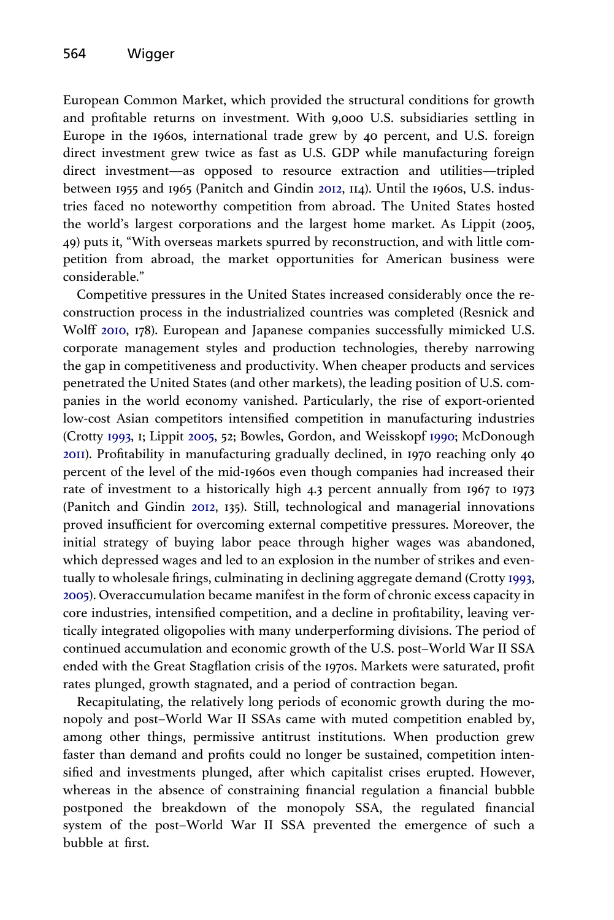<span id="page-9-0"></span>European Common Market, which provided the structural conditions for growth and profitable returns on investment. With 9,000 U.S. subsidiaries settling in Europe in the 1960s, international trade grew by 40 percent, and U.S. foreign direct investment grew twice as fast as U.S. GDP while manufacturing foreign direct investment—as opposed to resource extraction and utilities—tripled between 1955 and 1965 (Panitch and Gindin [2012,](#page-18-0) 114). Until the 1960s, U.S. industries faced no noteworthy competition from abroad. The United States hosted the world's largest corporations and the largest home market. As Lippit (2005, 49) puts it, "With overseas markets spurred by reconstruction, and with little competition from abroad, the market opportunities for American business were considerable."

Competitive pressures in the United States increased considerably once the reconstruction process in the industrialized countries was completed (Resnick and Wolff [2010,](#page-18-0) 178). European and Japanese companies successfully mimicked U.S. corporate management styles and production technologies, thereby narrowing the gap in competitiveness and productivity. When cheaper products and services penetrated the United States (and other markets), the leading position of U.S. companies in the world economy vanished. Particularly, the rise of export-oriented low-cost Asian competitors intensified competition in manufacturing industries (Crotty [1993](#page-16-0), 1; Lippit [2005](#page-17-0), 52; Bowles, Gordon, and Weisskopf [1990;](#page-15-0) McDonough [2011](#page-17-0)). Profitability in manufacturing gradually declined, in 1970 reaching only 40 percent of the level of the mid-1960s even though companies had increased their rate of investment to a historically high 4.3 percent annually from 1967 to 1973 (Panitch and Gindin [2012](#page-18-0), 135). Still, technological and managerial innovations proved insufficient for overcoming external competitive pressures. Moreover, the initial strategy of buying labor peace through higher wages was abandoned, which depressed wages and led to an explosion in the number of strikes and eventually to wholesale firings, culminating in declining aggregate demand (Crotty [1993](#page-16-0), [2005](#page-16-0)). Overaccumulation became manifest in the form of chronic excess capacity in core industries, intensified competition, and a decline in profitability, leaving vertically integrated oligopolies with many underperforming divisions. The period of continued accumulation and economic growth of the U.S. post–World War II SSA ended with the Great Stagflation crisis of the 1970s. Markets were saturated, profit rates plunged, growth stagnated, and a period of contraction began.

Recapitulating, the relatively long periods of economic growth during the monopoly and post–World War II SSAs came with muted competition enabled by, among other things, permissive antitrust institutions. When production grew faster than demand and profits could no longer be sustained, competition intensified and investments plunged, after which capitalist crises erupted. However, whereas in the absence of constraining financial regulation a financial bubble postponed the breakdown of the monopoly SSA, the regulated financial system of the post–World War II SSA prevented the emergence of such a bubble at first.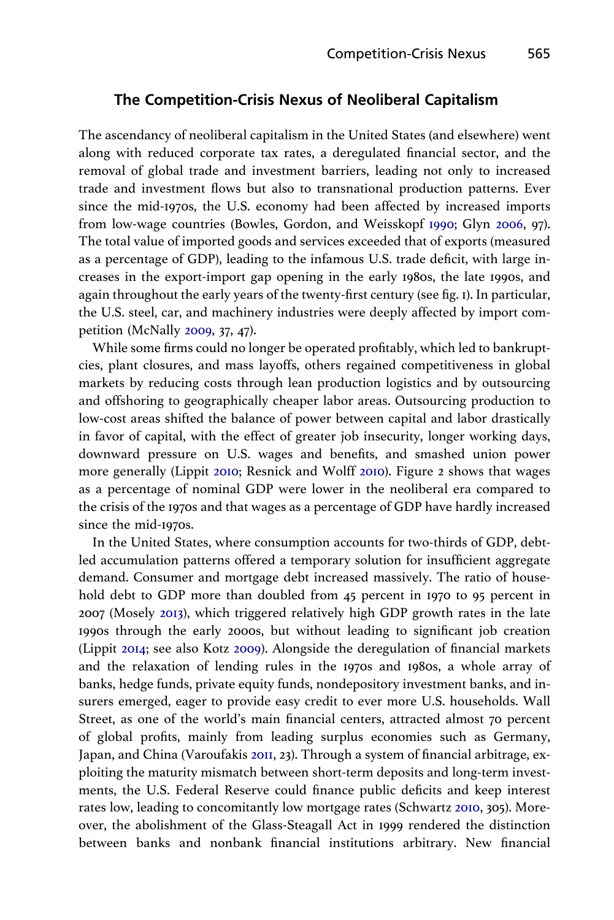#### <span id="page-10-0"></span>The Competition-Crisis Nexus of Neoliberal Capitalism

The ascendancy of neoliberal capitalism in the United States (and elsewhere) went along with reduced corporate tax rates, a deregulated financial sector, and the removal of global trade and investment barriers, leading not only to increased trade and investment flows but also to transnational production patterns. Ever since the mid-1970s, the U.S. economy had been affected by increased imports from low-wage countries (Bowles, Gordon, and Weisskopf [1990](#page-15-0); Glyn [2006](#page-16-0), 97). The total value of imported goods and services exceeded that of exports (measured as a percentage of GDP), leading to the infamous U.S. trade deficit, with large increases in the export-import gap opening in the early 1980s, the late 1990s, and again throughout the early years of the twenty-first century (see fig. 1). In particular, the U.S. steel, car, and machinery industries were deeply affected by import competition (McNally [2009,](#page-18-0) 37, 47).

While some firms could no longer be operated profitably, which led to bankruptcies, plant closures, and mass layoffs, others regained competitiveness in global markets by reducing costs through lean production logistics and by outsourcing and offshoring to geographically cheaper labor areas. Outsourcing production to low-cost areas shifted the balance of power between capital and labor drastically in favor of capital, with the effect of greater job insecurity, longer working days, downward pressure on U.S. wages and benefits, and smashed union power more generally (Lippit [2010](#page-17-0); Resnick and Wolff [2010](#page-18-0)). Figure 2 shows that wages as a percentage of nominal GDP were lower in the neoliberal era compared to the crisis of the 1970s and that wages as a percentage of GDP have hardly increased since the mid-1970s.

In the United States, where consumption accounts for two-thirds of GDP, debtled accumulation patterns offered a temporary solution for insufficient aggregate demand. Consumer and mortgage debt increased massively. The ratio of household debt to GDP more than doubled from 45 percent in 1970 to 95 percent in 2007 (Mosely [2013](#page-18-0)), which triggered relatively high GDP growth rates in the late 1990s through the early 2000s, but without leading to significant job creation (Lippit [2014](#page-17-0); see also Kotz [2009](#page-17-0)). Alongside the deregulation of financial markets and the relaxation of lending rules in the 1970s and 1980s, a whole array of banks, hedge funds, private equity funds, nondepository investment banks, and insurers emerged, eager to provide easy credit to ever more U.S. households. Wall Street, as one of the world's main financial centers, attracted almost 70 percent of global profits, mainly from leading surplus economies such as Germany, Japan, and China (Varoufakis [2011,](#page-18-0) 23). Through a system of financial arbitrage, exploiting the maturity mismatch between short-term deposits and long-term investments, the U.S. Federal Reserve could finance public deficits and keep interest rates low, leading to concomitantly low mortgage rates (Schwartz [2010](#page-18-0), 305). Moreover, the abolishment of the Glass-Steagall Act in 1999 rendered the distinction between banks and nonbank financial institutions arbitrary. New financial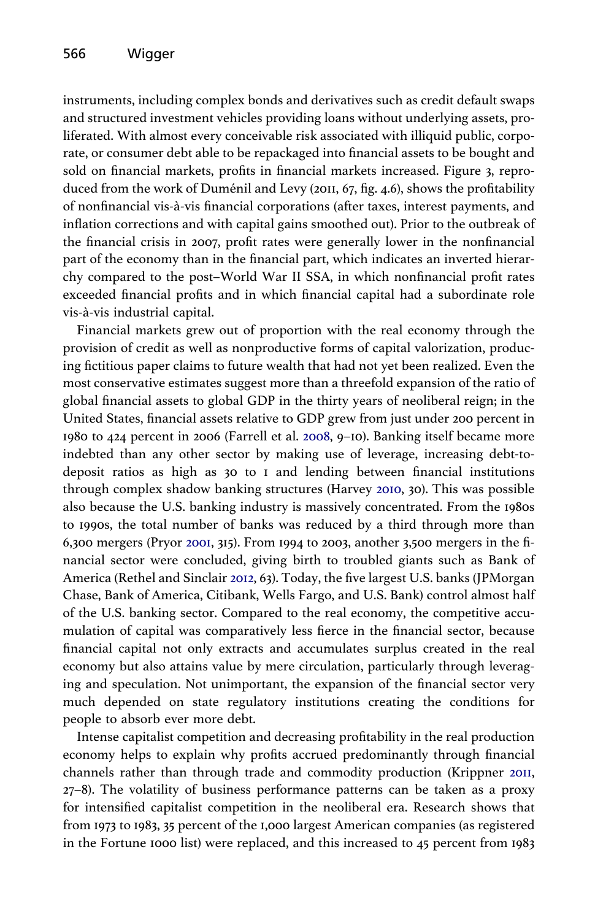<span id="page-11-0"></span>instruments, including complex bonds and derivatives such as credit default swaps and structured investment vehicles providing loans without underlying assets, proliferated. With almost every conceivable risk associated with illiquid public, corporate, or consumer debt able to be repackaged into financial assets to be bought and sold on financial markets, profits in financial markets increased. Figure 3, reproduced from the work of Duménil and Levy (2011, 67, fig. 4.6), shows the profitability of nonfinancial vis-à-vis financial corporations (after taxes, interest payments, and inflation corrections and with capital gains smoothed out). Prior to the outbreak of the financial crisis in 2007, profit rates were generally lower in the nonfinancial part of the economy than in the financial part, which indicates an inverted hierarchy compared to the post–World War II SSA, in which nonfinancial profit rates exceeded financial profits and in which financial capital had a subordinate role vis-à-vis industrial capital.

Financial markets grew out of proportion with the real economy through the provision of credit as well as nonproductive forms of capital valorization, producing fictitious paper claims to future wealth that had not yet been realized. Even the most conservative estimates suggest more than a threefold expansion of the ratio of global financial assets to global GDP in the thirty years of neoliberal reign; in the United States, financial assets relative to GDP grew from just under 200 percent in 1980 to 424 percent in 2006 (Farrell et al. [2008,](#page-16-0) 9–10). Banking itself became more indebted than any other sector by making use of leverage, increasing debt-todeposit ratios as high as 30 to 1 and lending between financial institutions through complex shadow banking structures (Harvey [2010](#page-16-0), 30). This was possible also because the U.S. banking industry is massively concentrated. From the 1980s to 1990s, the total number of banks was reduced by a third through more than 6,300 mergers (Pryor [2001](#page-18-0), 315). From 1994 to 2003, another 3,500 mergers in the financial sector were concluded, giving birth to troubled giants such as Bank of America (Rethel and Sinclair [2012,](#page-18-0) 63). Today, the five largest U.S. banks (JPMorgan Chase, Bank of America, Citibank, Wells Fargo, and U.S. Bank) control almost half of the U.S. banking sector. Compared to the real economy, the competitive accumulation of capital was comparatively less fierce in the financial sector, because financial capital not only extracts and accumulates surplus created in the real economy but also attains value by mere circulation, particularly through leveraging and speculation. Not unimportant, the expansion of the financial sector very much depended on state regulatory institutions creating the conditions for people to absorb ever more debt.

Intense capitalist competition and decreasing profitability in the real production economy helps to explain why profits accrued predominantly through financial channels rather than through trade and commodity production (Krippner [2011](#page-17-0), 27–8). The volatility of business performance patterns can be taken as a proxy for intensified capitalist competition in the neoliberal era. Research shows that from 1973 to 1983, 35 percent of the 1,000 largest American companies (as registered in the Fortune 1000 list) were replaced, and this increased to 45 percent from 1983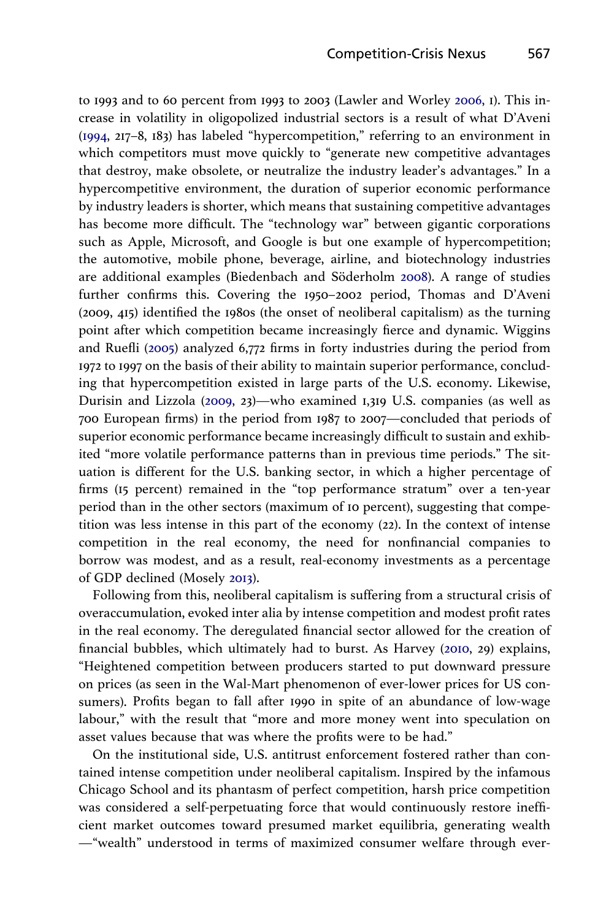<span id="page-12-0"></span>to 1993 and to 60 percent from 1993 to 2003 (Lawler and Worley [2006](#page-17-0), 1). This increase in volatility in oligopolized industrial sectors is a result of what D'Aveni ([1994](#page-16-0), 217–8, 183) has labeled "hypercompetition," referring to an environment in which competitors must move quickly to "generate new competitive advantages that destroy, make obsolete, or neutralize the industry leader's advantages." In a hypercompetitive environment, the duration of superior economic performance by industry leaders is shorter, which means that sustaining competitive advantages has become more difficult. The "technology war" between gigantic corporations such as Apple, Microsoft, and Google is but one example of hypercompetition; the automotive, mobile phone, beverage, airline, and biotechnology industries are additional examples (Biedenbach and Söderholm [2008](#page-15-0)). A range of studies further confirms this. Covering the 1950–2002 period, Thomas and D'Aveni (2009, 415) identified the 1980s (the onset of neoliberal capitalism) as the turning point after which competition became increasingly fierce and dynamic. Wiggins and Ruefli ([2005\)](#page-18-0) analyzed 6,772 firms in forty industries during the period from 1972 to 1997 on the basis of their ability to maintain superior performance, concluding that hypercompetition existed in large parts of the U.S. economy. Likewise, Durisin and Lizzola ([2009](#page-16-0), 23)—who examined 1,319 U.S. companies (as well as 700 European firms) in the period from 1987 to 2007—concluded that periods of superior economic performance became increasingly difficult to sustain and exhibited "more volatile performance patterns than in previous time periods." The situation is different for the U.S. banking sector, in which a higher percentage of firms (15 percent) remained in the "top performance stratum" over a ten-year period than in the other sectors (maximum of 10 percent), suggesting that competition was less intense in this part of the economy (22). In the context of intense competition in the real economy, the need for nonfinancial companies to borrow was modest, and as a result, real-economy investments as a percentage of GDP declined (Mosely [2013](#page-18-0)).

Following from this, neoliberal capitalism is suffering from a structural crisis of overaccumulation, evoked inter alia by intense competition and modest profit rates in the real economy. The deregulated financial sector allowed for the creation of financial bubbles, which ultimately had to burst. As Harvey [\(2010](#page-16-0), 29) explains, "Heightened competition between producers started to put downward pressure on prices (as seen in the Wal-Mart phenomenon of ever-lower prices for US consumers). Profits began to fall after 1990 in spite of an abundance of low-wage labour," with the result that "more and more money went into speculation on asset values because that was where the profits were to be had."

On the institutional side, U.S. antitrust enforcement fostered rather than contained intense competition under neoliberal capitalism. Inspired by the infamous Chicago School and its phantasm of perfect competition, harsh price competition was considered a self-perpetuating force that would continuously restore inefficient market outcomes toward presumed market equilibria, generating wealth —"wealth" understood in terms of maximized consumer welfare through ever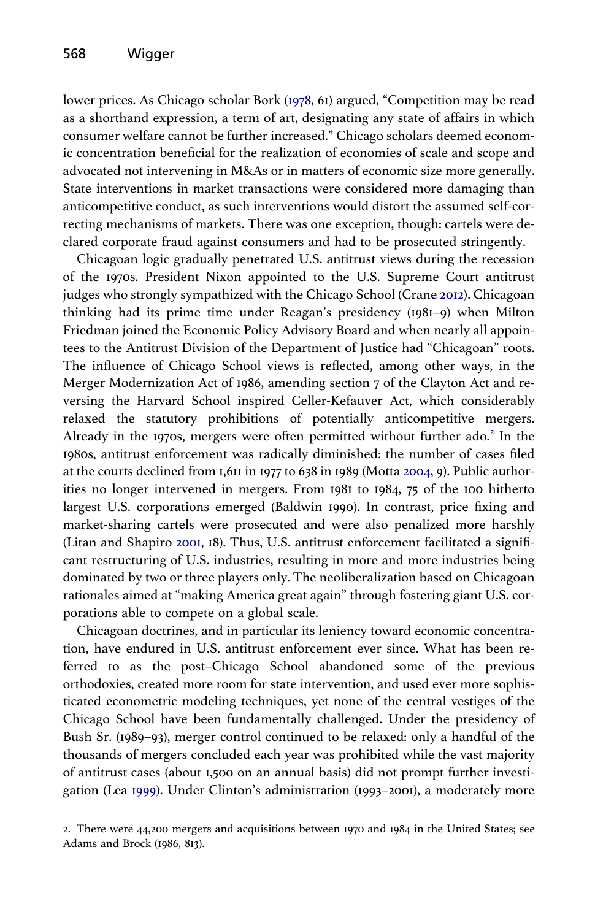<span id="page-13-0"></span>lower prices. As Chicago scholar Bork ([1978](#page-15-0), 61) argued, "Competition may be read as a shorthand expression, a term of art, designating any state of affairs in which consumer welfare cannot be further increased." Chicago scholars deemed economic concentration beneficial for the realization of economies of scale and scope and advocated not intervening in M&As or in matters of economic size more generally. State interventions in market transactions were considered more damaging than anticompetitive conduct, as such interventions would distort the assumed self-correcting mechanisms of markets. There was one exception, though: cartels were declared corporate fraud against consumers and had to be prosecuted stringently.

Chicagoan logic gradually penetrated U.S. antitrust views during the recession of the 1970s. President Nixon appointed to the U.S. Supreme Court antitrust judges who strongly sympathized with the Chicago School (Crane [2012](#page-16-0)). Chicagoan thinking had its prime time under Reagan's presidency (1981–9) when Milton Friedman joined the Economic Policy Advisory Board and when nearly all appointees to the Antitrust Division of the Department of Justice had "Chicagoan" roots. The influence of Chicago School views is reflected, among other ways, in the Merger Modernization Act of 1986, amending section 7 of the Clayton Act and reversing the Harvard School inspired Celler-Kefauver Act, which considerably relaxed the statutory prohibitions of potentially anticompetitive mergers. Already in the 1970s, mergers were often permitted without further ado.<sup>2</sup> In the 1980s, antitrust enforcement was radically diminished: the number of cases filed at the courts declined from 1,611 in 1977 to 638 in 1989 (Motta [2004](#page-18-0), 9). Public authorities no longer intervened in mergers. From 1981 to 1984, 75 of the 100 hitherto largest U.S. corporations emerged (Baldwin 1990). In contrast, price fixing and market-sharing cartels were prosecuted and were also penalized more harshly (Litan and Shapiro [2001](#page-17-0), 18). Thus, U.S. antitrust enforcement facilitated a significant restructuring of U.S. industries, resulting in more and more industries being dominated by two or three players only. The neoliberalization based on Chicagoan rationales aimed at "making America great again" through fostering giant U.S. corporations able to compete on a global scale.

Chicagoan doctrines, and in particular its leniency toward economic concentration, have endured in U.S. antitrust enforcement ever since. What has been referred to as the post–Chicago School abandoned some of the previous orthodoxies, created more room for state intervention, and used ever more sophisticated econometric modeling techniques, yet none of the central vestiges of the Chicago School have been fundamentally challenged. Under the presidency of Bush Sr. (1989–93), merger control continued to be relaxed: only a handful of the thousands of mergers concluded each year was prohibited while the vast majority of antitrust cases (about 1,500 on an annual basis) did not prompt further investigation (Lea [1999\)](#page-17-0). Under Clinton's administration (1993–2001), a moderately more

<sup>2.</sup> There were 44,200 mergers and acquisitions between 1970 and 1984 in the United States; see Adams and Brock (1986, 813).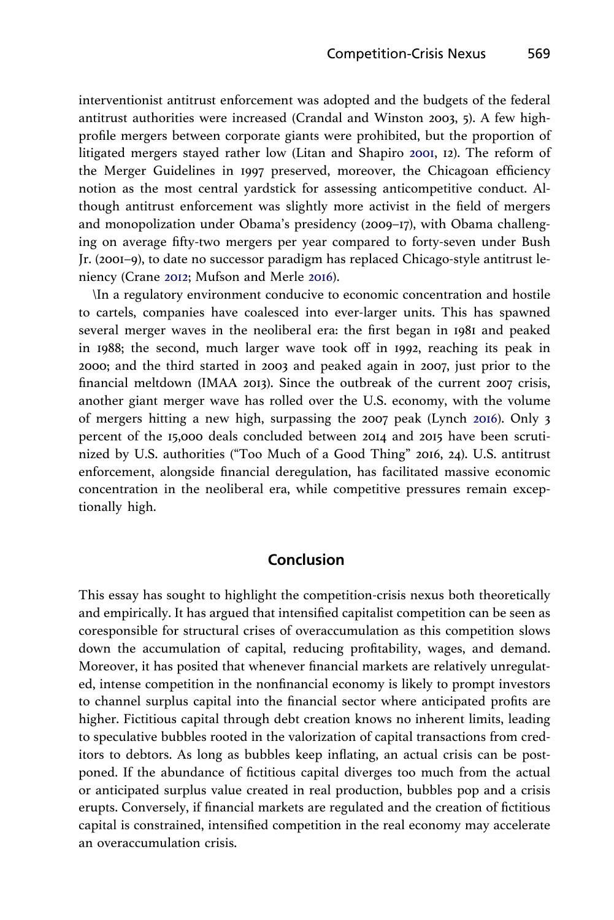<span id="page-14-0"></span>interventionist antitrust enforcement was adopted and the budgets of the federal antitrust authorities were increased (Crandal and Winston 2003, 5). A few highprofile mergers between corporate giants were prohibited, but the proportion of litigated mergers stayed rather low (Litan and Shapiro [2001](#page-17-0), 12). The reform of the Merger Guidelines in 1997 preserved, moreover, the Chicagoan efficiency notion as the most central yardstick for assessing anticompetitive conduct. Although antitrust enforcement was slightly more activist in the field of mergers and monopolization under Obama's presidency (2009–17), with Obama challenging on average fifty-two mergers per year compared to forty-seven under Bush Jr. (2001–9), to date no successor paradigm has replaced Chicago-style antitrust leniency (Crane [2012;](#page-16-0) Mufson and Merle [2016\)](#page-18-0).

\In a regulatory environment conducive to economic concentration and hostile to cartels, companies have coalesced into ever-larger units. This has spawned several merger waves in the neoliberal era: the first began in 1981 and peaked in 1988; the second, much larger wave took off in 1992, reaching its peak in 2000; and the third started in 2003 and peaked again in 2007, just prior to the financial meltdown (IMAA 2013). Since the outbreak of the current 2007 crisis, another giant merger wave has rolled over the U.S. economy, with the volume of mergers hitting a new high, surpassing the 2007 peak (Lynch [2016\)](#page-17-0). Only 3 percent of the 15,000 deals concluded between 2014 and 2015 have been scrutinized by U.S. authorities ("Too Much of a Good Thing" 2016, 24). U.S. antitrust enforcement, alongside financial deregulation, has facilitated massive economic concentration in the neoliberal era, while competitive pressures remain exceptionally high.

### Conclusion

This essay has sought to highlight the competition-crisis nexus both theoretically and empirically. It has argued that intensified capitalist competition can be seen as coresponsible for structural crises of overaccumulation as this competition slows down the accumulation of capital, reducing profitability, wages, and demand. Moreover, it has posited that whenever financial markets are relatively unregulated, intense competition in the nonfinancial economy is likely to prompt investors to channel surplus capital into the financial sector where anticipated profits are higher. Fictitious capital through debt creation knows no inherent limits, leading to speculative bubbles rooted in the valorization of capital transactions from creditors to debtors. As long as bubbles keep inflating, an actual crisis can be postponed. If the abundance of fictitious capital diverges too much from the actual or anticipated surplus value created in real production, bubbles pop and a crisis erupts. Conversely, if financial markets are regulated and the creation of fictitious capital is constrained, intensified competition in the real economy may accelerate an overaccumulation crisis.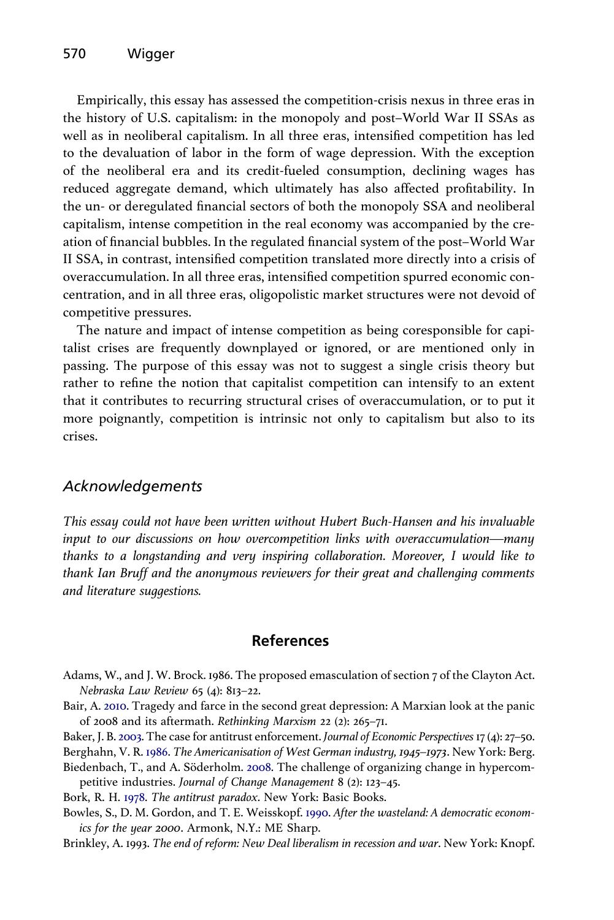<span id="page-15-0"></span>Empirically, this essay has assessed the competition-crisis nexus in three eras in the history of U.S. capitalism: in the monopoly and post–World War II SSAs as well as in neoliberal capitalism. In all three eras, intensified competition has led to the devaluation of labor in the form of wage depression. With the exception of the neoliberal era and its credit-fueled consumption, declining wages has reduced aggregate demand, which ultimately has also affected profitability. In the un- or deregulated financial sectors of both the monopoly SSA and neoliberal capitalism, intense competition in the real economy was accompanied by the creation of financial bubbles. In the regulated financial system of the post–World War II SSA, in contrast, intensified competition translated more directly into a crisis of overaccumulation. In all three eras, intensified competition spurred economic concentration, and in all three eras, oligopolistic market structures were not devoid of competitive pressures.

The nature and impact of intense competition as being coresponsible for capitalist crises are frequently downplayed or ignored, or are mentioned only in passing. The purpose of this essay was not to suggest a single crisis theory but rather to refine the notion that capitalist competition can intensify to an extent that it contributes to recurring structural crises of overaccumulation, or to put it more poignantly, competition is intrinsic not only to capitalism but also to its crises.

## Acknowledgements

This essay could not have been written without Hubert Buch-Hansen and his invaluable input to our discussions on how overcompetition links with overaccumulation—many thanks to a longstanding and very inspiring collaboration. Moreover, I would like to thank Ian Bruff and the anonymous reviewers for their great and challenging comments and literature suggestions.

### References

- Adams, W., and J. W. Brock. 1986. The proposed emasculation of section 7 of the Clayton Act. Nebraska Law Review 65 (4): 813–22.
- Bair, A. [2010](#page-4-0). Tragedy and farce in the second great depression: A Marxian look at the panic of 2008 and its aftermath. Rethinking Marxism 22 (2): 265–71.
- Baker, J. B. [2003.](#page-7-0) The case for antitrust enforcement.Journal of Economic Perspectives 17 (4): 27–50.

Berghahn, V. R. [1986.](#page-8-0) The Americanisation of West German industry, 1945–1973. New York: Berg. Biedenbach, T., and A. Söderholm. [2008](#page-12-0). The challenge of organizing change in hypercom-

petitive industries. Journal of Change Management 8 (2): 123–45. Bork, R. H. [1978](#page-13-0). The antitrust paradox. New York: Basic Books.

Bowles, S., D. M. Gordon, and T. E. Weisskopf. [1990.](#page-8-0) After the wasteland: A democratic economics for the year 2000. Armonk, N.Y.: ME Sharp.

Brinkley, A. 1993. The end of reform: New Deal liberalism in recession and war. New York: Knopf.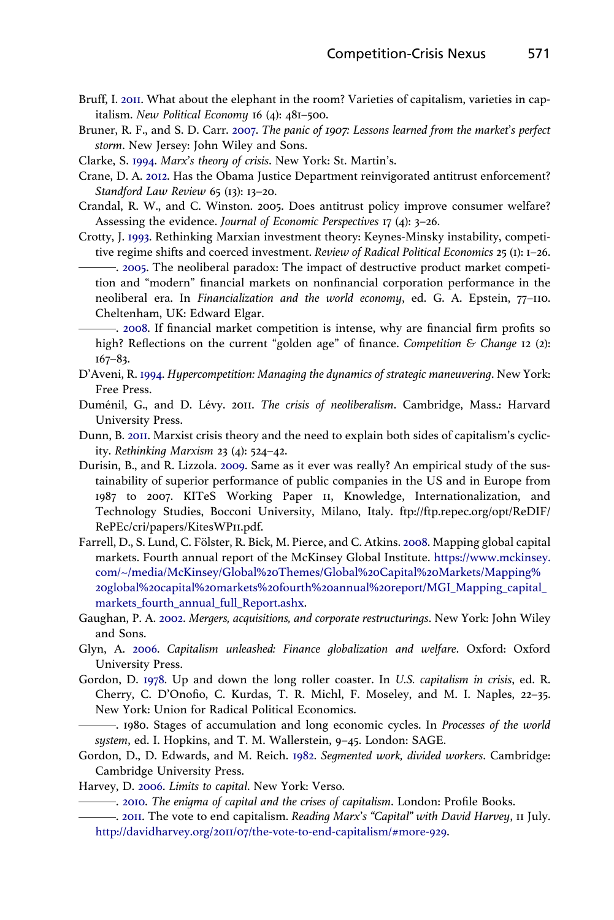- <span id="page-16-0"></span>Bruff, I. [2011.](#page-2-0) What about the elephant in the room? Varieties of capitalism, varieties in capitalism. New Political Economy 16 (4): 481–500.
- Bruner, R. F., and S. D. Carr. [2007](#page-6-0). The panic of 1907: Lessons learned from the market's perfect storm. New Jersey: John Wiley and Sons.

Clarke, S. [1994](#page-1-0). Marx's theory of crisis. New York: St. Martin's.

- Crane, D. A. [2012](#page-13-0). Has the Obama Justice Department reinvigorated antitrust enforcement? Standford Law Review 65 (13): 13-20.
- Crandal, R. W., and C. Winston. 2005. Does antitrust policy improve consumer welfare? Assessing the evidence. Journal of Economic Perspectives 17 (4): 3–26.
- Crotty, J. [1993](#page-4-0). Rethinking Marxian investment theory: Keynes-Minsky instability, competitive regime shifts and coerced investment. Review of Radical Political Economics 25 (1): 1–26.

. [2005](#page-9-0). The neoliberal paradox: The impact of destructive product market competition and "modern" financial markets on nonfinancial corporation performance in the neoliberal era. In Financialization and the world economy, ed. G. A. Epstein, 77–110. Cheltenham, UK: Edward Elgar.

. [2008](#page-8-0). If financial market competition is intense, why are financial firm profits so high? Reflections on the current "golden age" of finance. Competition & Change 12 (2): 167–83.

- D'Aveni, R. [1994.](#page-12-0) Hypercompetition: Managing the dynamics of strategic maneuvering. New York: Free Press.
- Duménil, G., and D. Lévy. 2011. The crisis of neoliberalism. Cambridge, Mass.: Harvard University Press.
- Dunn, B. [2011](#page-1-0). Marxist crisis theory and the need to explain both sides of capitalism's cyclicity. Rethinking Marxism 23 (4): 524–42.
- Durisin, B., and R. Lizzola. [2009](#page-12-0). Same as it ever was really? An empirical study of the sustainability of superior performance of public companies in the US and in Europe from 1987 to 2007. KITeS Working Paper 11, Knowledge, Internationalization, and Technology Studies, Bocconi University, Milano, Italy. ftp://ftp.repec.org/opt/ReDIF/ RePEc/cri/papers/KitesWP11.pdf.
- Farrell, D., S. Lund, C. Fölster, R. Bick, M. Pierce, and C. Atkins. [2008](#page-11-0). Mapping global capital markets. Fourth annual report of the McKinsey Global Institute. [https://www.mckinsey.](https://www.mckinsey.com/~/media/McKinsey/Global%20Themes/Global%20Capital%20Markets/Mapping%20global%20capital%20markets%20fourth%20annual%20report/MGI_Mapping_capital_markets_fourth_annual_full_Report.ashx) [com/~/media/McKinsey/Global%20Themes/Global%20Capital%20Markets/Mapping%](https://www.mckinsey.com/~/media/McKinsey/Global%20Themes/Global%20Capital%20Markets/Mapping%20global%20capital%20markets%20fourth%20annual%20report/MGI_Mapping_capital_markets_fourth_annual_full_Report.ashx) [20global%20capital%20markets%20fourth%20annual%20report/MGI\\_Mapping\\_capital\\_](https://www.mckinsey.com/~/media/McKinsey/Global%20Themes/Global%20Capital%20Markets/Mapping%20global%20capital%20markets%20fourth%20annual%20report/MGI_Mapping_capital_markets_fourth_annual_full_Report.ashx) [markets\\_fourth\\_annual\\_full\\_Report.ashx](https://www.mckinsey.com/~/media/McKinsey/Global%20Themes/Global%20Capital%20Markets/Mapping%20global%20capital%20markets%20fourth%20annual%20report/MGI_Mapping_capital_markets_fourth_annual_full_Report.ashx).
- Gaughan, P. A. [2002.](#page-6-0) Mergers, acquisitions, and corporate restructurings. New York: John Wiley and Sons.
- Glyn, A. [2006](#page-10-0). Capitalism unleashed: Finance globalization and welfare. Oxford: Oxford University Press.
- Gordon, D. [1978](#page-2-0). Up and down the long roller coaster. In U.S. capitalism in crisis, ed. R. Cherry, C. D'Onofio, C. Kurdas, T. R. Michl, F. Moseley, and M. I. Naples, 22–35. New York: Union for Radical Political Economics.
- ... 1980. Stages of accumulation and long economic cycles. In Processes of the world system, ed. I. Hopkins, and T. M. Wallerstein, 9–45. London: SAGE.
- Gordon, D., D. Edwards, and M. Reich. [1982](#page-2-0). Segmented work, divided workers. Cambridge: Cambridge University Press.

Harvey, D. [2006](#page-3-0). Limits to capital. New York: Verso.

. [2010.](#page-4-0) The enigma of capital and the crises of capitalism. London: Profile Books.

. [2011](#page-5-0). The vote to end capitalism. Reading Marx's "Capital" with David Harvey, 11 July. <http://davidharvey.org/2011/07/the-vote-to-end-capitalism/#more-929>.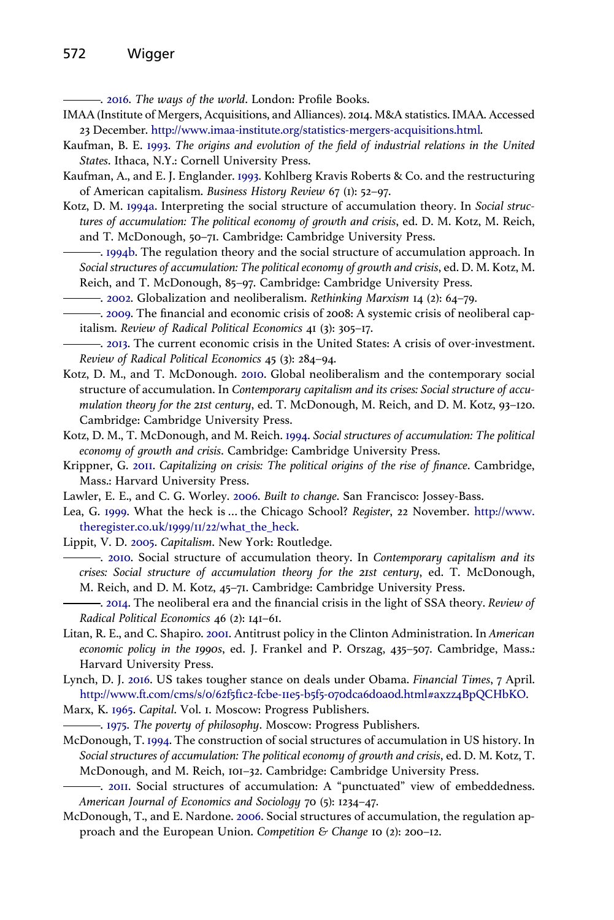<span id="page-17-0"></span>. [2016.](#page-3-0) The ways of the world. London: Profile Books.

- IMAA (Institute of Mergers, Acquisitions, and Alliances). 2014. M&A statistics. IMAA. Accessed 23 December. <http://www.imaa-institute.org/statistics-mergers-acquisitions.html>.
- Kaufman, B. E. [1993](#page-7-0). The origins and evolution of the field of industrial relations in the United States. Ithaca, N.Y.: Cornell University Press.
- Kaufman, A., and E. J. Englander. [1993](#page-8-0). Kohlberg Kravis Roberts & Co. and the restructuring of American capitalism. Business History Review 67 (1): 52–97.
- Kotz, D. M. [1994a](#page-3-0). Interpreting the social structure of accumulation theory. In Social structures of accumulation: The political economy of growth and crisis, ed. D. M. Kotz, M. Reich, and T. McDonough, 50–71. Cambridge: Cambridge University Press.
	- . [1994b](#page-2-0). The regulation theory and the social structure of accumulation approach. In Social structures of accumulation: The political economy of growth and crisis, ed. D. M. Kotz, M. Reich, and T. McDonough, 85–97. Cambridge: Cambridge University Press.
		- . [2002](#page-1-0). Globalization and neoliberalism. Rethinking Marxism 14 (2): 64–79.
	- . [2009](#page-2-0). The financial and economic crisis of 2008: A systemic crisis of neoliberal capitalism. Review of Radical Political Economics 41 (3): 305–17.

. [2013.](#page-2-0) The current economic crisis in the United States: A crisis of over-investment. Review of Radical Political Economics 45 (3): 284–94.

- Kotz, D. M., and T. McDonough. [2010](#page-2-0). Global neoliberalism and the contemporary social structure of accumulation. In Contemporary capitalism and its crises: Social structure of accumulation theory for the 21st century, ed. T. McDonough, M. Reich, and D. M. Kotz, 93-120. Cambridge: Cambridge University Press.
- Kotz, D. M., T. McDonough, and M. Reich. [1994.](#page-1-0) Social structures of accumulation: The political economy of growth and crisis. Cambridge: Cambridge University Press.
- Krippner, G. [2011](#page-11-0). Capitalizing on crisis: The political origins of the rise of finance. Cambridge, Mass.: Harvard University Press.
- Lawler, E. E., and C. G. Worley. [2006.](#page-12-0) Built to change. San Francisco: Jossey-Bass.
- Lea, G. [1999](#page-13-0). What the heck is … the Chicago School? Register, 22 November. [http://www.](http://www.theregister.co.uk/1999/11/22/what_the_heck) [theregister.co.uk/1999/11/22/what\\_the\\_heck.](http://www.theregister.co.uk/1999/11/22/what_the_heck)
- Lippit, V. D. [2005](#page-1-0). Capitalism. New York: Routledge.

-. [2010](#page-10-0). Social structure of accumulation theory. In Contemporary capitalism and its crises: Social structure of accumulation theory for the 21st century, ed. T. McDonough, M. Reich, and D. M. Kotz, 45–71. Cambridge: Cambridge University Press.

-. [2014](#page-10-0). The neoliberal era and the financial crisis in the light of SSA theory. Review of Radical Political Economics 46 (2): 141–61.

- Litan, R. E., and C. Shapiro. [2001.](#page-13-0) Antitrust policy in the Clinton Administration. In American economic policy in the 1990s, ed. J. Frankel and P. Orszag, 435–507. Cambridge, Mass.: Harvard University Press.
- Lynch, D. J. [2016](#page-14-0). US takes tougher stance on deals under Obama. Financial Times, 7 April. <http://www.ft.com/cms/s/0/62f5f1c2-fcbe-11e5-b5f5-070dca6d0a0d.html#axzz4BpQCHbKO>.
- Marx, K. [1965.](#page-3-0) Capital. Vol. 1. Moscow: Progress Publishers.
- . [1975](#page-4-0). The poverty of philosophy. Moscow: Progress Publishers.
- McDonough, T. [1994](#page-6-0). The construction of social structures of accumulation in US history. In Social structures of accumulation: The political economy of growth and crisis, ed. D. M. Kotz, T. McDonough, and M. Reich, 101–32. Cambridge: Cambridge University Press.

. [2011.](#page-9-0) Social structures of accumulation: A "punctuated" view of embeddedness. American Journal of Economics and Sociology 70 (5): 1234–47.

McDonough, T., and E. Nardone. [2006](#page-1-0). Social structures of accumulation, the regulation approach and the European Union. Competition & Change 10 (2): 200-12.